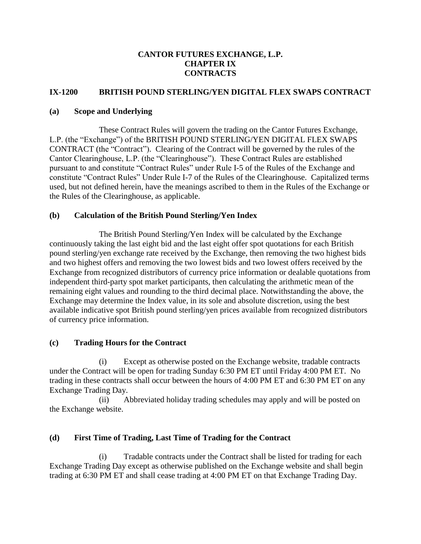### **CANTOR FUTURES EXCHANGE, L.P. CHAPTER IX CONTRACTS**

#### **IX-1200 BRITISH POUND STERLING/YEN DIGITAL FLEX SWAPS CONTRACT**

### **(a) Scope and Underlying**

These Contract Rules will govern the trading on the Cantor Futures Exchange, L.P. (the "Exchange") of the BRITISH POUND STERLING/YEN DIGITAL FLEX SWAPS CONTRACT (the "Contract"). Clearing of the Contract will be governed by the rules of the Cantor Clearinghouse, L.P. (the "Clearinghouse"). These Contract Rules are established pursuant to and constitute "Contract Rules" under Rule I-5 of the Rules of the Exchange and constitute "Contract Rules" Under Rule I-7 of the Rules of the Clearinghouse. Capitalized terms used, but not defined herein, have the meanings ascribed to them in the Rules of the Exchange or the Rules of the Clearinghouse, as applicable.

## **(b) Calculation of the British Pound Sterling/Yen Index**

The British Pound Sterling/Yen Index will be calculated by the Exchange continuously taking the last eight bid and the last eight offer spot quotations for each British pound sterling/yen exchange rate received by the Exchange, then removing the two highest bids and two highest offers and removing the two lowest bids and two lowest offers received by the Exchange from recognized distributors of currency price information or dealable quotations from independent third-party spot market participants, then calculating the arithmetic mean of the remaining eight values and rounding to the third decimal place. Notwithstanding the above, the Exchange may determine the Index value, in its sole and absolute discretion, using the best available indicative spot British pound sterling/yen prices available from recognized distributors of currency price information.

# **(c) Trading Hours for the Contract**

(i) Except as otherwise posted on the Exchange website, tradable contracts under the Contract will be open for trading Sunday 6:30 PM ET until Friday 4:00 PM ET. No trading in these contracts shall occur between the hours of 4:00 PM ET and 6:30 PM ET on any Exchange Trading Day.

(ii) Abbreviated holiday trading schedules may apply and will be posted on the Exchange website.

# **(d) First Time of Trading, Last Time of Trading for the Contract**

(i) Tradable contracts under the Contract shall be listed for trading for each Exchange Trading Day except as otherwise published on the Exchange website and shall begin trading at 6:30 PM ET and shall cease trading at 4:00 PM ET on that Exchange Trading Day.